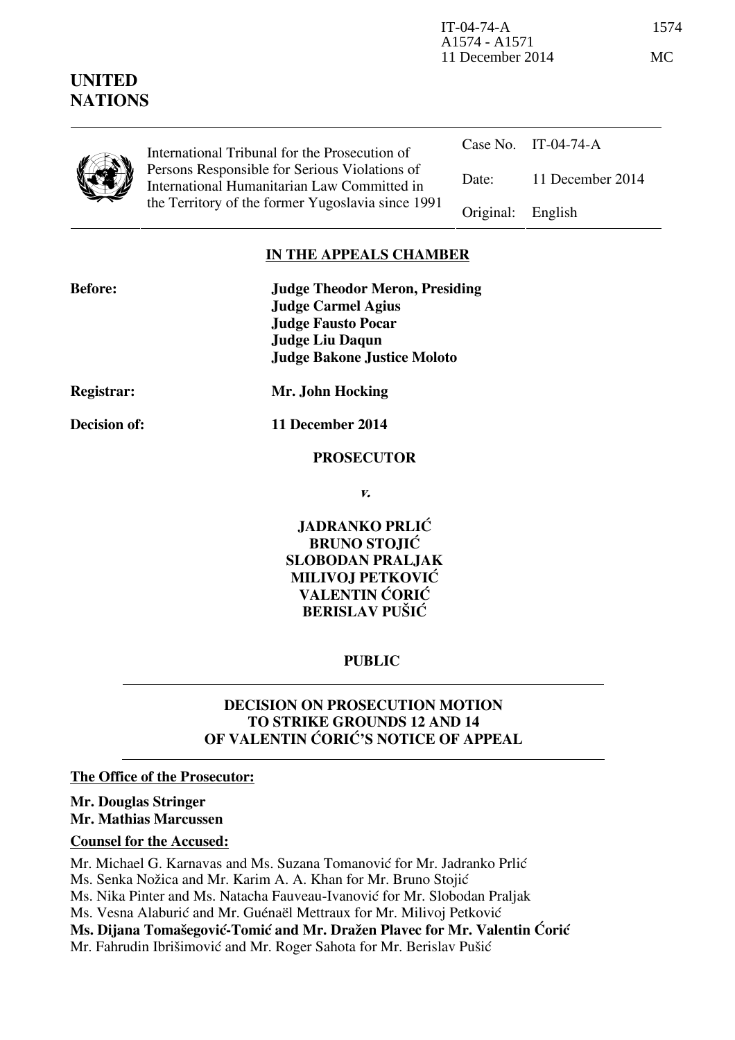| UNITED<br><b>NATIONS</b> |                                                                                                                                                                                                    |           | A1574 - A1571<br>11 December 2014 |  |
|--------------------------|----------------------------------------------------------------------------------------------------------------------------------------------------------------------------------------------------|-----------|-----------------------------------|--|
|                          | International Tribunal for the Prosecution of<br>Persons Responsible for Serious Violations of<br>International Humanitarian Law Committed in<br>the Territory of the former Yugoslavia since 1991 | Case No.  | IT-04-74-A                        |  |
|                          |                                                                                                                                                                                                    | Date:     | 11 December 2014                  |  |
|                          |                                                                                                                                                                                                    | Original: | English                           |  |

IT-04-74-A 1574

### **IN THE APPEALS CHAMBER**

| <b>Before:</b>    | <b>Judge Theodor Meron, Presiding</b><br><b>Judge Carmel Agius</b><br><b>Judge Fausto Pocar</b><br><b>Judge Liu Daqun</b> |  |
|-------------------|---------------------------------------------------------------------------------------------------------------------------|--|
|                   | <b>Judge Bakone Justice Moloto</b>                                                                                        |  |
| <b>Registrar:</b> | Mr. John Hocking                                                                                                          |  |

**Decision of: 11 December 2014** 

#### **PROSECUTOR**

**v.** 

**JADRANKO PRLIĆ BRUNO STOJIĆ SLOBODAN PRALJAK MILIVOJ PETKOVIĆ VALENTIN ĆORIĆ BERISLAV PUŠIĆ** 

# **PUBLIC**

# **DECISION ON PROSECUTION MOTION TO STRIKE GROUNDS 12 AND 14 OF VALENTIN CORIC'S NOTICE OF APPEAL**

#### **The Office of the Prosecutor:**

## **Mr. Douglas Stringer Mr. Mathias Marcussen**

### **Counsel for the Accused:**

Mr. Michael G. Karnavas and Ms. Suzana Tomanović for Mr. Jadranko Prlić

Ms. Senka Nožica and Mr. Karim A. A. Khan for Mr. Bruno Stojić

Ms. Nika Pinter and Ms. Natacha Fauveau-Ivanović for Mr. Slobodan Praljak

Ms. Vesna Alaburić and Mr. Guénaël Mettraux for Mr. Milivoj Petković

**Ms. Dijana Tomašegović-Tomić and Mr. Dražen Plavec for Mr. Valentin Ćorić** 

Mr. Fahrudin Ibrišimović and Mr. Roger Sahota for Mr. Berislav Pušić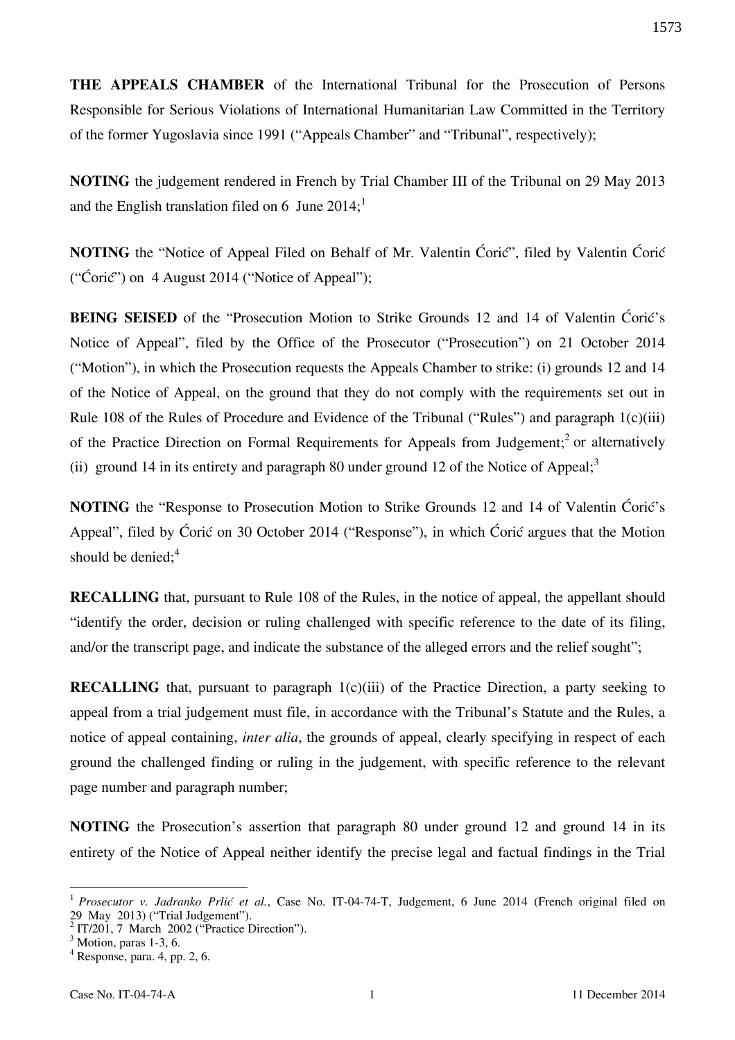**THE APPEALS CHAMBER** of the International Tribunal for the Prosecution of Persons Responsible for Serious Violations of International Humanitarian Law Committed in the Territory of the former Yugoslavia since 1991 ("Appeals Chamber" and "Tribunal", respectively);

**NOTING** the judgement rendered in French by Trial Chamber III of the Tribunal on 29 May 2013 and the English translation filed on 6 June  $2014$ ;<sup>1</sup>

**NOTING** the "Notice of Appeal Filed on Behalf of Mr. Valentin Ćorić", filed by Valentin Ćorić ("Ćorić") on 4 August 2014 ("Notice of Appeal");

**BEING SEISED** of the "Prosecution Motion to Strike Grounds 12 and 14 of Valentin Ćorić's Notice of Appeal", filed by the Office of the Prosecutor ("Prosecution") on 21 October 2014 ("Motion"), in which the Prosecution requests the Appeals Chamber to strike: (i) grounds 12 and 14 of the Notice of Appeal, on the ground that they do not comply with the requirements set out in Rule 108 of the Rules of Procedure and Evidence of the Tribunal ("Rules") and paragraph 1(c)(iii) of the Practice Direction on Formal Requirements for Appeals from Judgement;<sup>2</sup> or alternatively (ii) ground 14 in its entirety and paragraph 80 under ground 12 of the Notice of Appeal: $3$ 

**NOTING** the "Response to Prosecution Motion to Strike Grounds 12 and 14 of Valentin Ćorić's Appeal", filed by Ćorić on 30 October 2014 ("Response"), in which Ćorić argues that the Motion should be denied: $4^4$ 

**RECALLING** that, pursuant to Rule 108 of the Rules, in the notice of appeal, the appellant should "identify the order, decision or ruling challenged with specific reference to the date of its filing, and/or the transcript page, and indicate the substance of the alleged errors and the relief sought";

**RECALLING** that, pursuant to paragraph 1(c)(iii) of the Practice Direction, a party seeking to appeal from a trial judgement must file, in accordance with the Tribunal's Statute and the Rules, a notice of appeal containing, *inter alia*, the grounds of appeal, clearly specifying in respect of each ground the challenged finding or ruling in the judgement, with specific reference to the relevant page number and paragraph number;

**NOTING** the Prosecution's assertion that paragraph 80 under ground 12 and ground 14 in its entirety of the Notice of Appeal neither identify the precise legal and factual findings in the Trial

 $\overline{a}$ 

<sup>&</sup>lt;sup>1</sup> Prosecutor v. Jadranko Prlić et al., Case No. IT-04-74-T, Judgement, 6 June 2014 (French original filed on 29 May 2013) ("Trial Judgement").

 $2$  IT/201, 7 March 2002 ("Practice Direction").

 $3$  Motion, paras 1-3, 6.

 $4$  Response, para. 4, pp. 2, 6.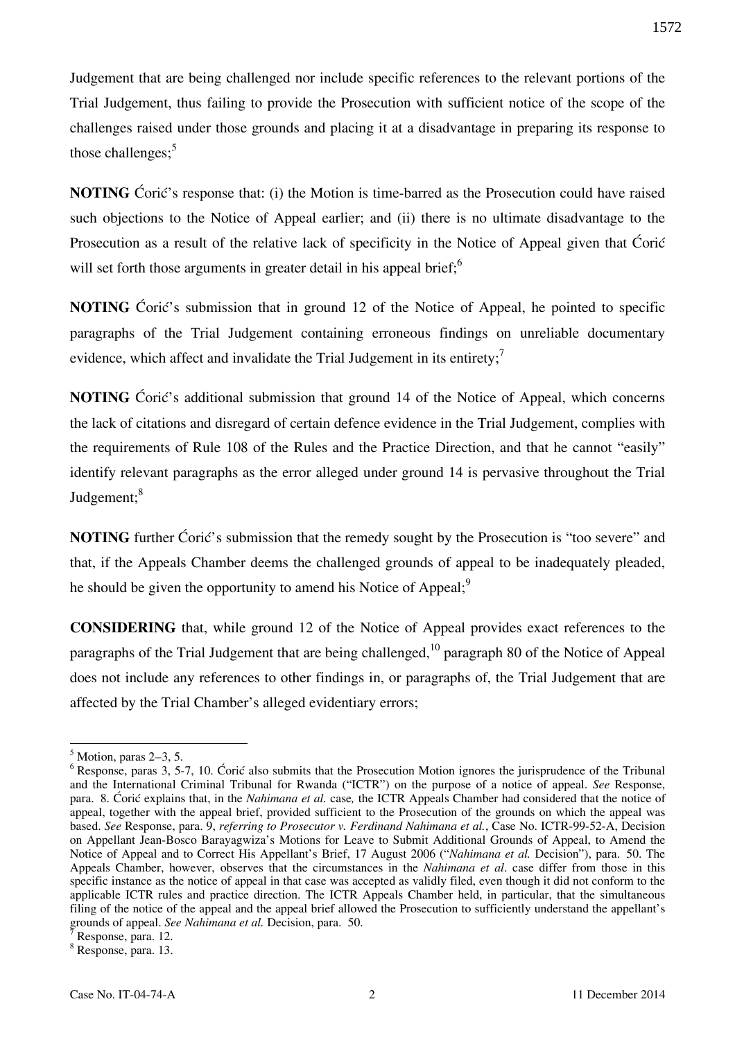Judgement that are being challenged nor include specific references to the relevant portions of the Trial Judgement, thus failing to provide the Prosecution with sufficient notice of the scope of the challenges raised under those grounds and placing it at a disadvantage in preparing its response to those challenges; $5$ 

**NOTING** Ćorić's response that: (i) the Motion is time-barred as the Prosecution could have raised such objections to the Notice of Appeal earlier; and (ii) there is no ultimate disadvantage to the Prosecution as a result of the relative lack of specificity in the Notice of Appeal given that Coric will set forth those arguments in greater detail in his appeal brief;<sup>6</sup>

**NOTING** Ćorić's submission that in ground 12 of the Notice of Appeal, he pointed to specific paragraphs of the Trial Judgement containing erroneous findings on unreliable documentary evidence, which affect and invalidate the Trial Judgement in its entirety;<sup>7</sup>

**NOTING** Ćorić's additional submission that ground 14 of the Notice of Appeal, which concerns the lack of citations and disregard of certain defence evidence in the Trial Judgement, complies with the requirements of Rule 108 of the Rules and the Practice Direction, and that he cannot "easily" identify relevant paragraphs as the error alleged under ground 14 is pervasive throughout the Trial Judgement;<sup>8</sup>

**NOTING** further Ćorić's submission that the remedy sought by the Prosecution is "too severe" and that, if the Appeals Chamber deems the challenged grounds of appeal to be inadequately pleaded, he should be given the opportunity to amend his Notice of Appeal;<sup>9</sup>

**CONSIDERING** that, while ground 12 of the Notice of Appeal provides exact references to the paragraphs of the Trial Judgement that are being challenged,<sup>10</sup> paragraph 80 of the Notice of Appeal does not include any references to other findings in, or paragraphs of, the Trial Judgement that are affected by the Trial Chamber's alleged evidentiary errors;

1572

 $<sup>5</sup>$  Motion, paras 2–3, 5.</sup>

 $6$  Response, paras 3, 5-7, 10. Ćorić also submits that the Prosecution Motion ignores the jurisprudence of the Tribunal and the International Criminal Tribunal for Rwanda ("ICTR") on the purpose of a notice of appeal. *See* Response, para. 8. Ćorić explains that, in the *Nahimana et al.* case*,* the ICTR Appeals Chamber had considered that the notice of appeal, together with the appeal brief, provided sufficient to the Prosecution of the grounds on which the appeal was based. *See* Response, para. 9, *referring to Prosecutor v. Ferdinand Nahimana et al.*, Case No. ICTR-99-52-A, Decision on Appellant Jean-Bosco Barayagwiza's Motions for Leave to Submit Additional Grounds of Appeal, to Amend the Notice of Appeal and to Correct His Appellant's Brief, 17 August 2006 ("*Nahimana et al.* Decision"), para. 50. The Appeals Chamber, however, observes that the circumstances in the *Nahimana et al*. case differ from those in this specific instance as the notice of appeal in that case was accepted as validly filed, even though it did not conform to the applicable ICTR rules and practice direction. The ICTR Appeals Chamber held, in particular, that the simultaneous filing of the notice of the appeal and the appeal brief allowed the Prosecution to sufficiently understand the appellant's grounds of appeal. *See Nahimana et al.* Decision, para. 50.

<sup>8</sup> Response, para. 13.